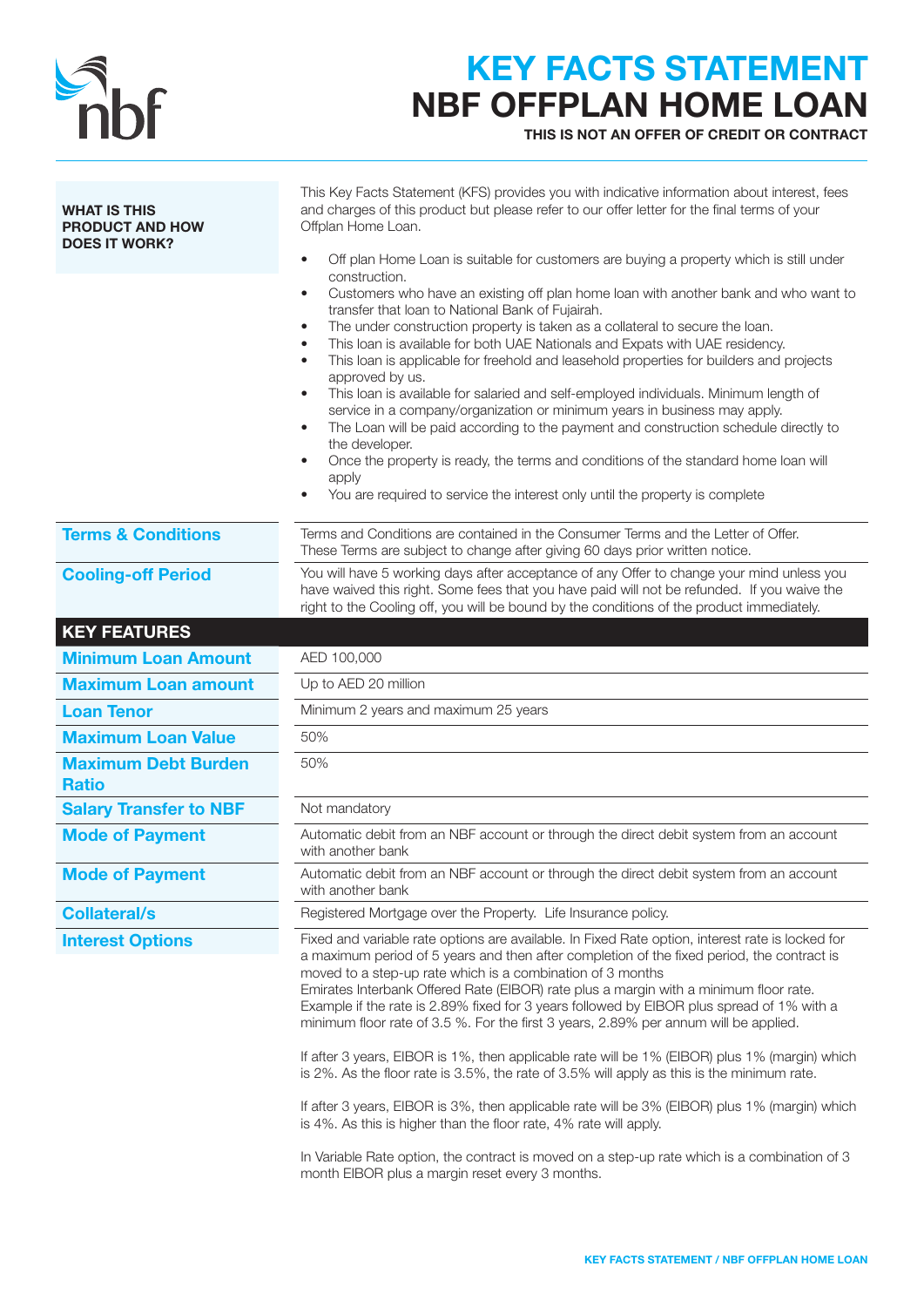

## KEY FACTS STATEMENT NBF OFFPLAN HOME LOAN

THIS IS NOT AN OFFER OF CREDIT OR CONTRACT

| <b>WHAT IS THIS</b><br><b>PRODUCT AND HOW</b><br><b>DOES IT WORK?</b> | This Key Facts Statement (KFS) provides you with indicative information about interest, fees<br>and charges of this product but please refer to our offer letter for the final terms of your<br>Offplan Home Loan.<br>Off plan Home Loan is suitable for customers are buying a property which is still under<br>$\bullet$<br>construction.<br>Customers who have an existing off plan home loan with another bank and who want to<br>٠<br>transfer that loan to National Bank of Fujairah.<br>The under construction property is taken as a collateral to secure the loan.<br>$\bullet$<br>This loan is available for both UAE Nationals and Expats with UAE residency.<br>$\bullet$<br>This loan is applicable for freehold and leasehold properties for builders and projects<br>٠<br>approved by us.<br>This loan is available for salaried and self-employed individuals. Minimum length of<br>service in a company/organization or minimum years in business may apply.<br>The Loan will be paid according to the payment and construction schedule directly to<br>$\bullet$<br>the developer.<br>Once the property is ready, the terms and conditions of the standard home loan will<br>$\bullet$<br>apply<br>You are required to service the interest only until the property is complete |
|-----------------------------------------------------------------------|---------------------------------------------------------------------------------------------------------------------------------------------------------------------------------------------------------------------------------------------------------------------------------------------------------------------------------------------------------------------------------------------------------------------------------------------------------------------------------------------------------------------------------------------------------------------------------------------------------------------------------------------------------------------------------------------------------------------------------------------------------------------------------------------------------------------------------------------------------------------------------------------------------------------------------------------------------------------------------------------------------------------------------------------------------------------------------------------------------------------------------------------------------------------------------------------------------------------------------------------------------------------------------------------------|
| <b>Terms &amp; Conditions</b>                                         | Terms and Conditions are contained in the Consumer Terms and the Letter of Offer.<br>These Terms are subject to change after giving 60 days prior written notice.                                                                                                                                                                                                                                                                                                                                                                                                                                                                                                                                                                                                                                                                                                                                                                                                                                                                                                                                                                                                                                                                                                                                 |
| <b>Cooling-off Period</b>                                             | You will have 5 working days after acceptance of any Offer to change your mind unless you<br>have waived this right. Some fees that you have paid will not be refunded. If you waive the<br>right to the Cooling off, you will be bound by the conditions of the product immediately.                                                                                                                                                                                                                                                                                                                                                                                                                                                                                                                                                                                                                                                                                                                                                                                                                                                                                                                                                                                                             |
| <b>KEY FEATURES</b>                                                   |                                                                                                                                                                                                                                                                                                                                                                                                                                                                                                                                                                                                                                                                                                                                                                                                                                                                                                                                                                                                                                                                                                                                                                                                                                                                                                   |
| <b>Minimum Loan Amount</b>                                            | AED 100,000                                                                                                                                                                                                                                                                                                                                                                                                                                                                                                                                                                                                                                                                                                                                                                                                                                                                                                                                                                                                                                                                                                                                                                                                                                                                                       |
| <b>Maximum Loan amount</b>                                            | Up to AED 20 million                                                                                                                                                                                                                                                                                                                                                                                                                                                                                                                                                                                                                                                                                                                                                                                                                                                                                                                                                                                                                                                                                                                                                                                                                                                                              |
| <b>Loan Tenor</b>                                                     | Minimum 2 years and maximum 25 years                                                                                                                                                                                                                                                                                                                                                                                                                                                                                                                                                                                                                                                                                                                                                                                                                                                                                                                                                                                                                                                                                                                                                                                                                                                              |
| <b>Maximum Loan Value</b>                                             | 50%                                                                                                                                                                                                                                                                                                                                                                                                                                                                                                                                                                                                                                                                                                                                                                                                                                                                                                                                                                                                                                                                                                                                                                                                                                                                                               |
| <b>Maximum Debt Burden</b><br><b>Ratio</b>                            | 50%                                                                                                                                                                                                                                                                                                                                                                                                                                                                                                                                                                                                                                                                                                                                                                                                                                                                                                                                                                                                                                                                                                                                                                                                                                                                                               |
| <b>Salary Transfer to NBF</b>                                         | Not mandatory                                                                                                                                                                                                                                                                                                                                                                                                                                                                                                                                                                                                                                                                                                                                                                                                                                                                                                                                                                                                                                                                                                                                                                                                                                                                                     |
| <b>Mode of Payment</b>                                                | Automatic debit from an NBF account or through the direct debit system from an account<br>with another bank                                                                                                                                                                                                                                                                                                                                                                                                                                                                                                                                                                                                                                                                                                                                                                                                                                                                                                                                                                                                                                                                                                                                                                                       |
| <b>Mode of Payment</b>                                                | Automatic debit from an NBF account or through the direct debit system from an account<br>with another bank                                                                                                                                                                                                                                                                                                                                                                                                                                                                                                                                                                                                                                                                                                                                                                                                                                                                                                                                                                                                                                                                                                                                                                                       |
| <b>Collateral/s</b>                                                   | Registered Mortgage over the Property. Life Insurance policy.                                                                                                                                                                                                                                                                                                                                                                                                                                                                                                                                                                                                                                                                                                                                                                                                                                                                                                                                                                                                                                                                                                                                                                                                                                     |
| <b>Interest Options</b>                                               | Fixed and variable rate options are available. In Fixed Rate option, interest rate is locked for<br>a maximum period of 5 years and then after completion of the fixed period, the contract is<br>moved to a step-up rate which is a combination of 3 months<br>Emirates Interbank Offered Rate (EIBOR) rate plus a margin with a minimum floor rate.<br>Example if the rate is 2.89% fixed for 3 years followed by EIBOR plus spread of 1% with a<br>minimum floor rate of 3.5 %. For the first 3 years, 2.89% per annum will be applied.<br>If after 3 years, EIBOR is 1%, then applicable rate will be 1% (EIBOR) plus 1% (margin) which<br>is 2%. As the floor rate is 3.5%, the rate of 3.5% will apply as this is the minimum rate.<br>If after 3 years, EIBOR is 3%, then applicable rate will be 3% (EIBOR) plus 1% (margin) which<br>is 4%. As this is higher than the floor rate, 4% rate will apply.<br>In Variable Rate option, the contract is moved on a step-up rate which is a combination of 3                                                                                                                                                                                                                                                                                   |
|                                                                       | month EIBOR plus a margin reset every 3 months.                                                                                                                                                                                                                                                                                                                                                                                                                                                                                                                                                                                                                                                                                                                                                                                                                                                                                                                                                                                                                                                                                                                                                                                                                                                   |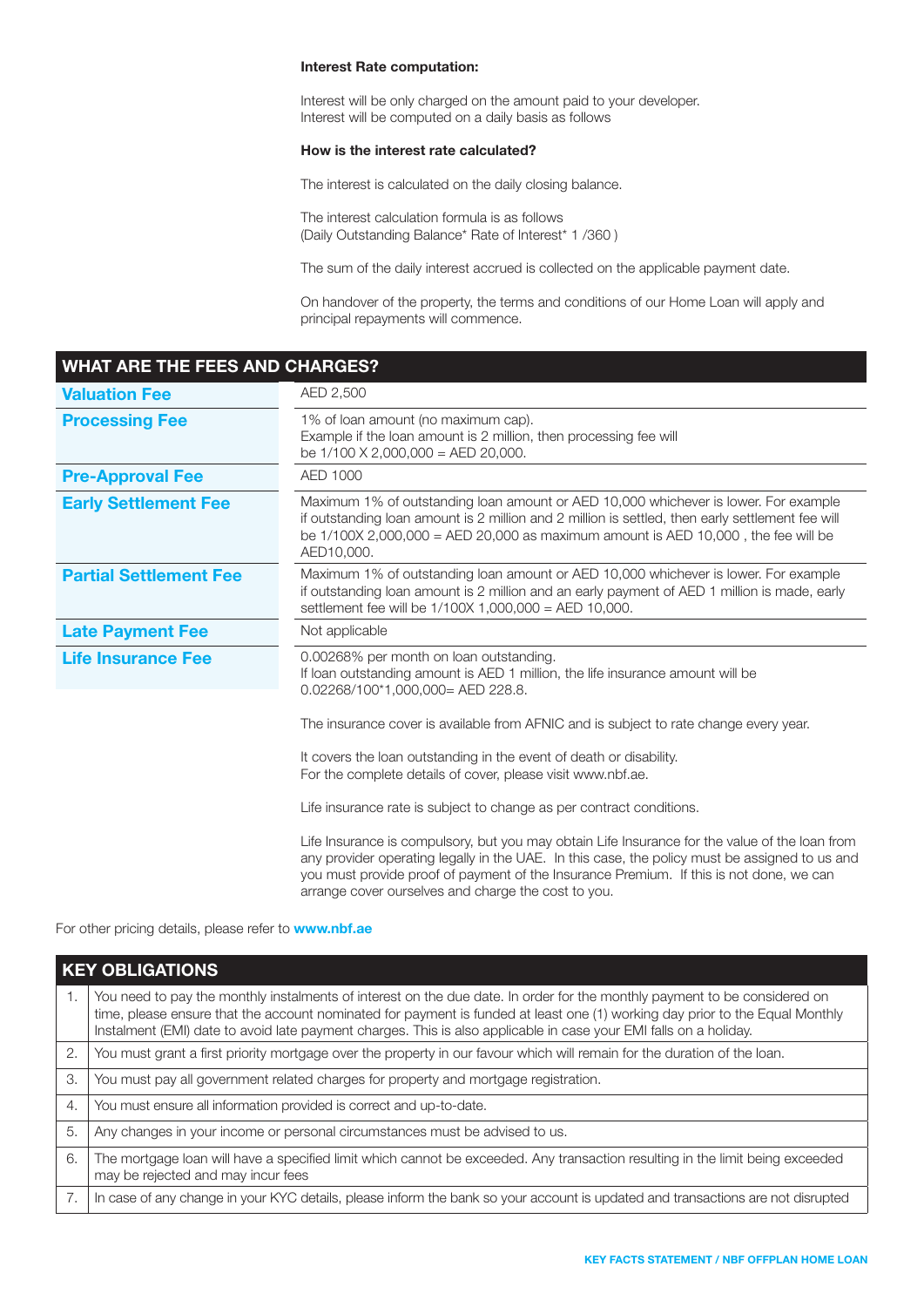#### Interest Rate computation:

Interest will be only charged on the amount paid to your developer. Interest will be computed on a daily basis as follows

#### How is the interest rate calculated?

The interest is calculated on the daily closing balance.

The interest calculation formula is as follows (Daily Outstanding Balance\* Rate of Interest\* 1 /360 )

The sum of the daily interest accrued is collected on the applicable payment date.

On handover of the property, the terms and conditions of our Home Loan will apply and principal repayments will commence.

## WHAT ARE THE FEES AND CHARGES? **Valuation Fee** AED 2,500 **Processing Fee** 1% of loan amount (no maximum cap). Example if the loan amount is 2 million, then processing fee will be 1/100 X 2,000,000 = AED 20,000. **Pre-Approval Fee** AED 1000 Early Settlement Fee Maximum 1% of outstanding loan amount or AED 10,000 whichever is lower. For example if outstanding loan amount is 2 million and 2 million is settled, then early settlement fee will be 1/100X 2,000,000 = AED 20,000 as maximum amount is AED 10,000 , the fee will be AED10,000. **Partial Settlement Fee** Maximum 1% of outstanding loan amount or AED 10,000 whichever is lower. For example if outstanding loan amount is 2 million and an early payment of AED 1 million is made, early settlement fee will be 1/100X 1,000,000 = AED 10,000. Late Payment Fee Not applicable Life Insurance Fee 0.00268% per month on loan outstanding. If loan outstanding amount is AED 1 million, the life insurance amount will be 0.02268/100\*1,000,000= AED 228.8. The insurance cover is available from AFNIC and is subject to rate change every year. It covers the loan outstanding in the event of death or disability. For the complete details of cover, please visit www.nbf.ae. Life insurance rate is subject to change as per contract conditions. Life Insurance is compulsory, but you may obtain Life Insurance for the value of the loan from any provider operating legally in the UAE. In this case, the policy must be assigned to us and you must provide proof of payment of the Insurance Premium. If this is not done, we can arrange cover ourselves and charge the cost to you.

For other pricing details, please refer to **www.nbf.ae** 

|    | <b>KEY OBLIGATIONS</b>                                                                                                                                                                                                                                                                                                                                                         |  |
|----|--------------------------------------------------------------------------------------------------------------------------------------------------------------------------------------------------------------------------------------------------------------------------------------------------------------------------------------------------------------------------------|--|
| 1. | You need to pay the monthly instalments of interest on the due date. In order for the monthly payment to be considered on<br>time, please ensure that the account nominated for payment is funded at least one (1) working day prior to the Equal Monthly<br>Instalment (EMI) date to avoid late payment charges. This is also applicable in case your EMI falls on a holiday. |  |
| 2. | You must grant a first priority mortgage over the property in our favour which will remain for the duration of the loan.                                                                                                                                                                                                                                                       |  |
| 3. | You must pay all government related charges for property and mortgage registration.                                                                                                                                                                                                                                                                                            |  |
| 4. | You must ensure all information provided is correct and up-to-date.                                                                                                                                                                                                                                                                                                            |  |
| 5. | Any changes in your income or personal circumstances must be advised to us.                                                                                                                                                                                                                                                                                                    |  |
| 6. | The mortgage loan will have a specified limit which cannot be exceeded. Any transaction resulting in the limit being exceeded<br>may be rejected and may incur fees                                                                                                                                                                                                            |  |
| 7. | In case of any change in your KYC details, please inform the bank so your account is updated and transactions are not disrupted                                                                                                                                                                                                                                                |  |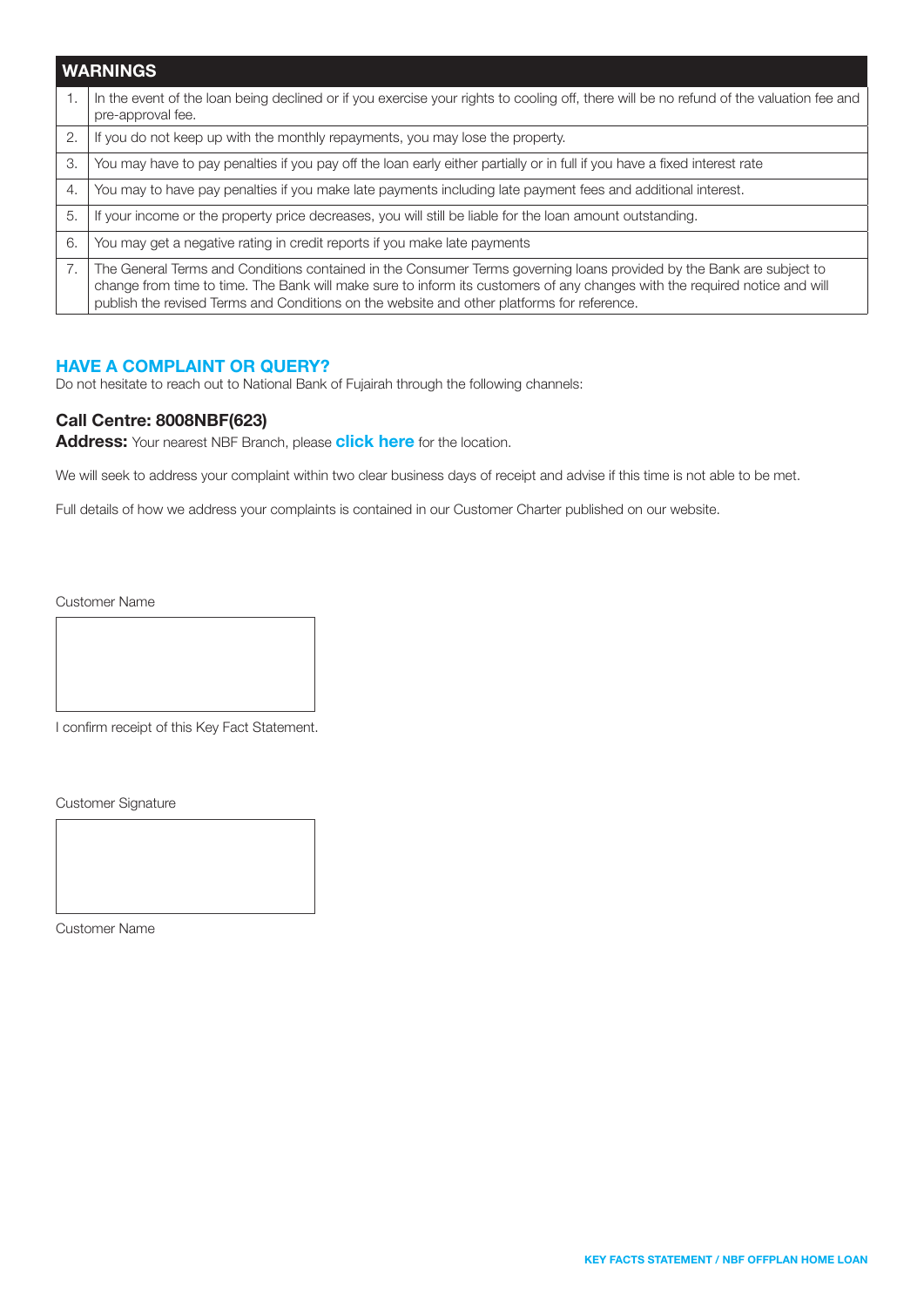|    | <b>WARNINGS</b>                                                                                                                                                                                                                                                                                                                                  |  |
|----|--------------------------------------------------------------------------------------------------------------------------------------------------------------------------------------------------------------------------------------------------------------------------------------------------------------------------------------------------|--|
|    | In the event of the loan being declined or if you exercise your rights to cooling off, there will be no refund of the valuation fee and<br>pre-approval fee.                                                                                                                                                                                     |  |
| 2. | If you do not keep up with the monthly repayments, you may lose the property.                                                                                                                                                                                                                                                                    |  |
| 3. | You may have to pay penalties if you pay off the loan early either partially or in full if you have a fixed interest rate                                                                                                                                                                                                                        |  |
| 4. | You may to have pay penalties if you make late payments including late payment fees and additional interest.                                                                                                                                                                                                                                     |  |
| 5. | If your income or the property price decreases, you will still be liable for the loan amount outstanding.                                                                                                                                                                                                                                        |  |
| 6. | You may get a negative rating in credit reports if you make late payments                                                                                                                                                                                                                                                                        |  |
| 7. | The General Terms and Conditions contained in the Consumer Terms governing loans provided by the Bank are subject to<br>change from time to time. The Bank will make sure to inform its customers of any changes with the required notice and will<br>publish the revised Terms and Conditions on the website and other platforms for reference. |  |

### HAVE A COMPLAINT OR QUERY?

Do not hesitate to reach out to National Bank of Fujairah through the following channels:

### Call Centre: 8008NBF(623)

Address: Your nearest NBF Branch, please [click here](https://nbf.ae/en/contact/locations) for the location.

We will seek to address your complaint within two clear business days of receipt and advise if this time is not able to be met.

Full details of how we address your complaints is contained in our Customer Charter published on our website.

Customer Name

I confirm receipt of this Key Fact Statement.

Customer Signature

Customer Name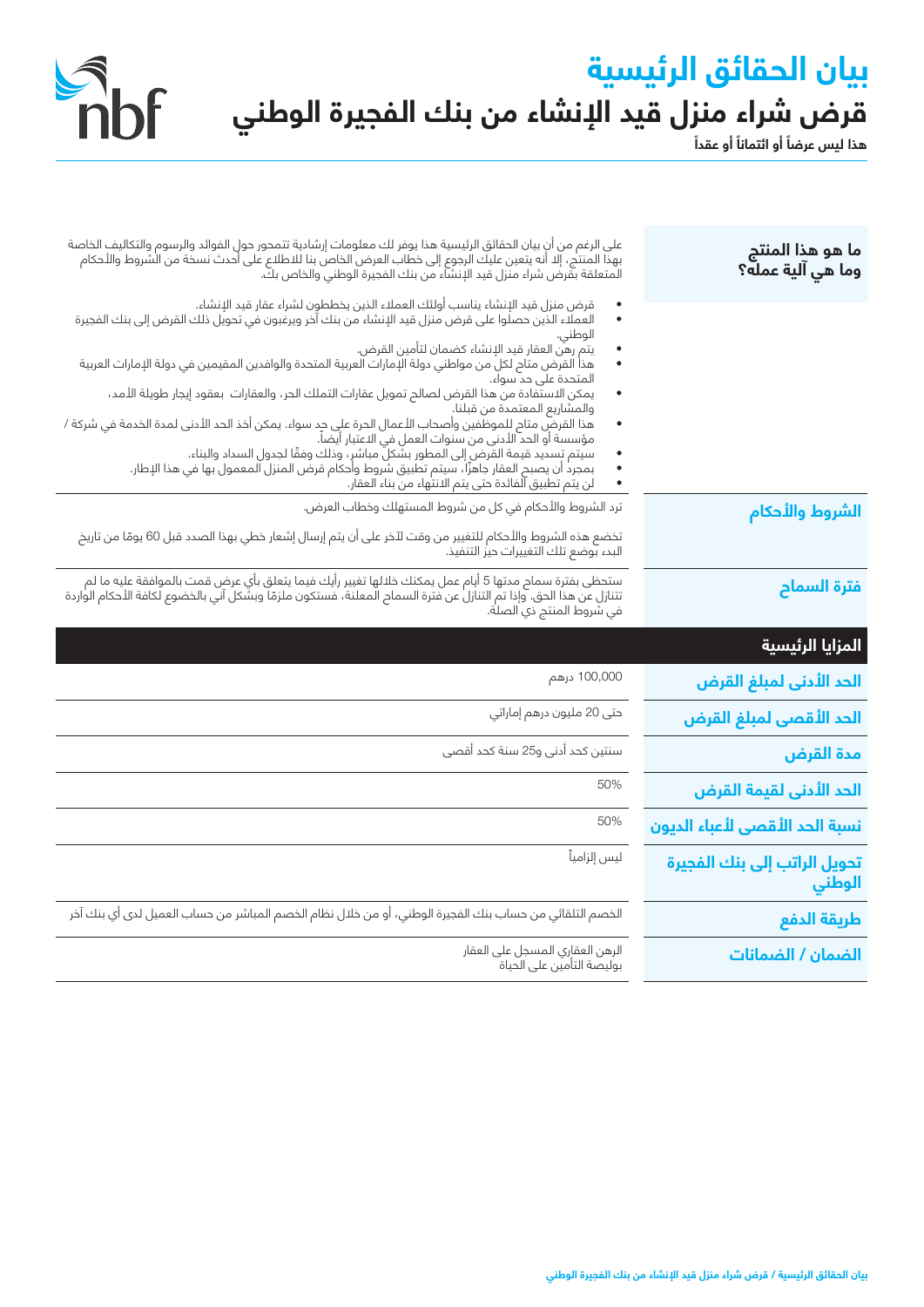# **بيان الحقائق الرئيسية ً قرض شراء منزل قيد اإلنشاء من بنك الفجيرة الوطني**

 $\frac{1}{2}$ 



| ما هو هذا المنتج<br>وما هي آلية عمله؟  | على الرغم من ان بيان الحقائق الرئيسية هذا يوفر لك معلومات إرشادية تتمحور حول الفوائد والرسوم والتكاليف الخاصة<br>بهذا المنتج، إلا أنه يتعين عليك الرجوع إلى خطاب العرض الخاص بنا للاطلاع على أحدث نسخة من الشروط والأحكام<br>المتعل                         |
|----------------------------------------|-------------------------------------------------------------------------------------------------------------------------------------------------------------------------------------------------------------------------------------------------------------|
|                                        | قرض منزل قيد الإنشاء يناسب أولئك العملاء الذين يخططون لشراء عقار قيد الإنشاء.<br>العملاء الذين حصلوا على قرض منزل قيد الإنشاء من بنك آخر ويرغبون في تحويل ذلك القرض إلى بنك الفجيرة<br>الوطني.                                                              |
|                                        | يتم رهن العقار قيد الإنشاء كضمان لتأمين القرض.<br>هذا القرض متاح لكلٍ من مواطني دولة الإمارات العربية المتحدة والوافدين المقيمين في دولة الإمارات العربية<br>المتحدة على حد سواء.                                                                           |
|                                        | يمكن الاستفادة من هذا القرض لصالح تمويل عقارات التملك الحر، والعقارات بعقود إيجار طويلة الأمد،<br>والمشاريع المعتمدة من قبلنا.                                                                                                                              |
|                                        | هذا القرضّ متام للموظّفين وأصحاب الأعمال الحرة على حِد سواء. يمكن أخذ الحد الأدنى لمدة الخدمة في شركة /<br>٠<br>مؤسسة أو الحد الأدنى من سنوات العمل في الاعتبار أيضاً.<br>سيتم تِسديد قيمة القرض إلى المطور بشكلَّ مباشرٍ، وذلك وفقًا لجدول السداد والبناء. |
|                                        | بمجرد أن يصبح العقار جاهزًا، سيتم تطبيق شروط وأحكام قرض المنزل المعمول بها في هذا الإطار.<br>لن يتم تطبيق الفائدة حتى يتم الانتهاء من بناء العقار.                                                                                                          |
| الشروط والأحكام                        | ترد الشروط والأحكام في كل من شروط المستهلك وخطاب العرض.                                                                                                                                                                                                     |
|                                        | تخضع هذه الشروط والأحكام للتغيير من وقت لآخر على أن يتم إرسال إشعار خطي بهذا الصدد قبل 60 يومًا من تاريخ<br>البدء بوضع تلك التغييرات حيز التنفيذ.                                                                                                           |
| فترة السماح                            | ستحظى بفترة سماح مدتها 5 أيام عمل يمكنك خلالها تغيير رأيك فيما يتعلق بأي عرض قمت بالموافقة عليه ما لم<br>تتنازل عن هذا الحق. وإذا تم التنازل عن فترة السماح المعلنة، فستكون ملزمًا وبشكل آني بالخضوع لكافة الأحكام الواردة<br>في شر                         |
| المزايا الرئيسية                       |                                                                                                                                                                                                                                                             |
| الحد الأدنى لمبلغ الق <mark>رض</mark>  | 100,000 درهم                                                                                                                                                                                                                                                |
| الحد الأقصى لمبلغ القرض                | حتى 20 مليون درهم إماراتي                                                                                                                                                                                                                                   |
| مدة القرض                              | سنتين كحد أدنى و25 سنة كحد أقصى                                                                                                                                                                                                                             |
| الحد ال <mark>أدنى لقيمة القرض</mark>  | 50%                                                                                                                                                                                                                                                         |
| نسبة الحد الأقصى لأعباء الديون         | 50%                                                                                                                                                                                                                                                         |
| تحويل الراتب إلى بنك الفجيرة<br>الوطني | ليس إلزامياً                                                                                                                                                                                                                                                |
| طريقة الدفع                            | الخصم التلقائي من حساب بنك الفجيرة الوطني، أو من خلال نظام الخصم المباشر من حساب العميل لدى أي بنك آخر                                                                                                                                                      |
| الضمان / الضمانات                      | الرهن العقارى المسجل على العقار<br>بوليصة التأمين على الحياة                                                                                                                                                                                                |
|                                        |                                                                                                                                                                                                                                                             |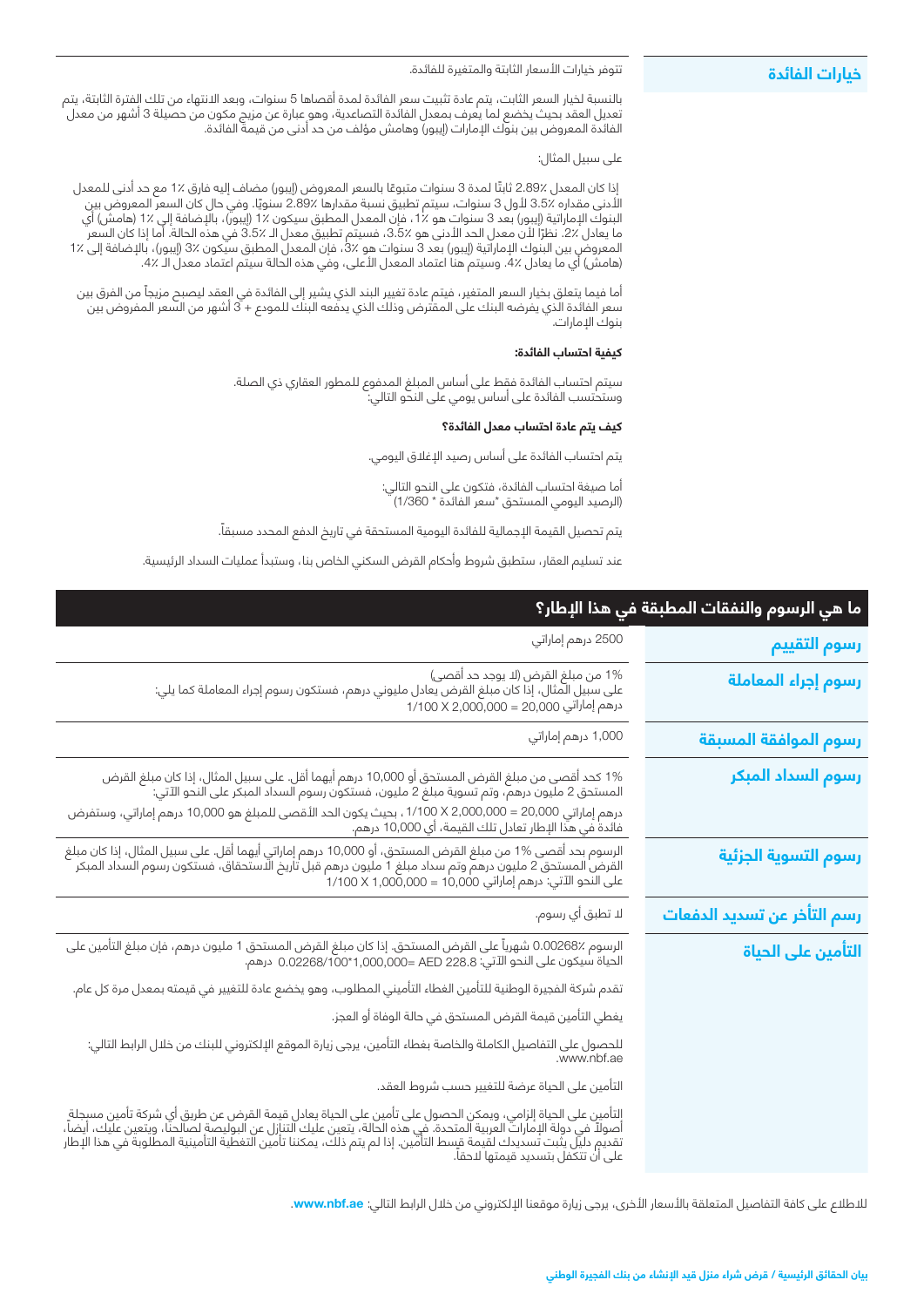#### تتوفر خيارات األسعار الثابتة والمتغيرة للفائدة. بالنسبة لخيار السعر الثابت، يتم عادة تثبيت سعر الفائدة لمدة أقصاها 5 سنوات، وبعد االنتهاء من تلك الفترة الثابتة، يتم تعديل العقد بحيث يخضع لما يعرف بمعدل الفائدة التصاعدية، وهو عبارة عن مزيج مكون من حصيلة 3 أشهر من معدل الفائدة المعروض بين بنوك الإمارات (إيبور) وهامش مؤلف من حد ادنى من قيمة الفائدة. على سبيل المثال: ً إذا كان المعدل 2.89٪ ثابتا لمدة 3 ً سنوات متبوعا بالسعر المعروض )إيبور( مضاف إليه فارق 1٪ مع حد أدنى للمعدل األدنى مقداره 3.5٪ ألول 3 سنوات، سيتم تطبيق نسبة مقدارها 2.89٪ سنويً ا. وفي حال كان السعر المعروض بين البنوك الإماراتية (إيبور) بعد 3 سنوات هو ٪1، فإن المعدل المطبق سيكون ٪1 (إيبور)، بالإضافة إلى ٪1 (هامش) اي ما يعادل ٪2. نظرًا لأن معدل الحد الأدنى هو ٪3.5، فسيتم تطبيق معدل الـ ٪3.5 في هذه الحالة. أما إذا كان السعر المعروض بين البنوك الإماراتية (إيبور) بعد 3 سنوات هو 3٪، فإن المعدل المطبق سيكون 3٪ (إيبور)، بالإضافة إلى 1٪ 1 (هامش) اي ما يعادل ٪4. وسيتم هنا اعتماد المعدل الأعلى، وفي هذه الحالة سيتم اعتماد معدل الـ ٪4. **خيارات الفائدة**

ً أما فيما يتعلق بخيار السعر المتغير، فيتم عادة تغيير البند الذي يشير إلى الفائدة في العقد ليصبح مزيجا من الفرق بين سعر الفائدة الذي يفرضه البنك على المقترض وذلك الذي يدفعه البنك للمودع + 3 أشهر من السعر المفروض بين بنوك الإمارات.

#### **كيفية احتساب الفائدة:**

سيتم احتساب الفائدة فقط على أساس المبلغ المدفوع للمطور العقاري ذي الصلة. وستحتسب الفائدة على أساس يومي على النحو التالي:

#### **كيف يتم عادة احتساب معدل الفائدة؟**

يتم احتساب الفائدة على أساس رصيد اإلغالق اليومي.

أما صيغة احتساب الفائدة، فتكون على النحو التالي: )الرصيد اليومي المستحق \*سعر الفائدة \* 1/360(

ً يتم تحصيل القيمة اإلجمالية للفائدة اليومية المستحقة في تاريخ الدفع المحدد مسبقا.

عند تسليم العقار، ستطبق شروط وأحكام القرض السكني الخاص بنا، وستبدأ عمليات السداد الرئيسية.

| ما هي الرسوم والنفقات المطبقة في هذا الإطار؟ |                                                                                                                                                                                                                                                                                                                                                                |  |
|----------------------------------------------|----------------------------------------------------------------------------------------------------------------------------------------------------------------------------------------------------------------------------------------------------------------------------------------------------------------------------------------------------------------|--|
| رسوم التقييم                                 | 2500 درهم إماراتي                                                                                                                                                                                                                                                                                                                                              |  |
| رسوم إجراء المعاملة                          | 1% من مبلغ القرض (لا يوجد حد أقصى)<br>على سبيل المثال، إذا كان مبلغ القرض يعادل مليوني درهم، فستكون رسوم إجراء المعاملة كما يلي:<br>درهم إماراتي 20,000 = 20,000 X 2,000,000                                                                                                                                                                                   |  |
| رسوم الموافقة المسبقة                        | 1,000 درهم إماراتي                                                                                                                                                                                                                                                                                                                                             |  |
| رسوم السداد المبكر                           | 1% كحد أقصى من مبلغ القرض المستحق أو 10,000 درهم أيهما أقل. على سبيل المثال، إذا كان مبلغ القرض<br>المستحق 2 مليون درهم، وتم تسوية مبلغ 2 مليون، فستكون رسوم السداد المبكر على النحو الآتي:<br>درهم إماراتي 20,000 = 20,000,000 x 1/100 ، بحيث يكون الحد الأقصى للمبلغ هو 10,000 درهم إماراتي، وستفرض<br>فائدة في هذا الإطار تعادل تلك القيمة، أي 10,000 درهم. |  |
| رسوم التسوية الجزئية                         | الرسوم بحد أقصى %1 من مبلغ القرض المستحق، أو 10,000 درهم إماراتي أيهما أقل. على سبيل المثال، إذا كان مبلغ<br>القرض المستحق 2 مليون درهم وتم سداد مبلغ 1 مليون درهم قبل تاريخ الاستحقاق، فستكون رسوم السداد المبكر<br>على النحو الآت                                                                                                                            |  |
| رسم التأخر عن تسديد الدفعات                  | لا تطبق أي رسوم.                                                                                                                                                                                                                                                                                                                                               |  |
| التأمين على الحياة                           | الرسوم ٪0.00268 شهرياً على القرض المستحق. إذا كان مبلغ القرض المستحق 1 مليون درهم، فإن مبلغ التأمين على<br>الحياة سيكون على النحو الآتي: http://www.ca/208/100*1,000,000= AED 228.8 درهم.                                                                                                                                                                      |  |
|                                              | تقدم شركة الفجيرة الوطنية للتأمين الغطاء التأميني المطلوب، وهو يخضع عادة للتغيير في قيمته بمعدل مرة كل عام.                                                                                                                                                                                                                                                    |  |
|                                              | يغطي التأمين قيمة القرض المستحق في حالة الوفاة أو العجز.                                                                                                                                                                                                                                                                                                       |  |
|                                              | للحصول على التفاصيل الكاملة والخاصة بغطاء التأمين، يرجى زيارة الموقع الإلكتروني للبنك من خلال الرابط التالي:<br>www.nbf.ae.                                                                                                                                                                                                                                    |  |
|                                              | التأمين على الحياة عرضة للتغيير حسب شروط العقد.                                                                                                                                                                                                                                                                                                                |  |
|                                              | التأمين على الحياة إلزامي، ويمكن الحصول على تأمين على الحياة يعادل قيمة القرض عن طريق أي شركة تأمين مسجلة<br>أصولاً في دولة الإمارات العربية المتحدة. في هذه الحالة، يتعين عليك التنازل عن البوليصة لصالحنا، ويتعين عليك، أيضاً،                                                                                                                               |  |

#### للاطلاع على كافة التفاصيل المتعلقة بالأسعار الأخرى، يرجى زيارة موقعنا الإلكتروني من خلال الرابط التالي: www.nbf.ae